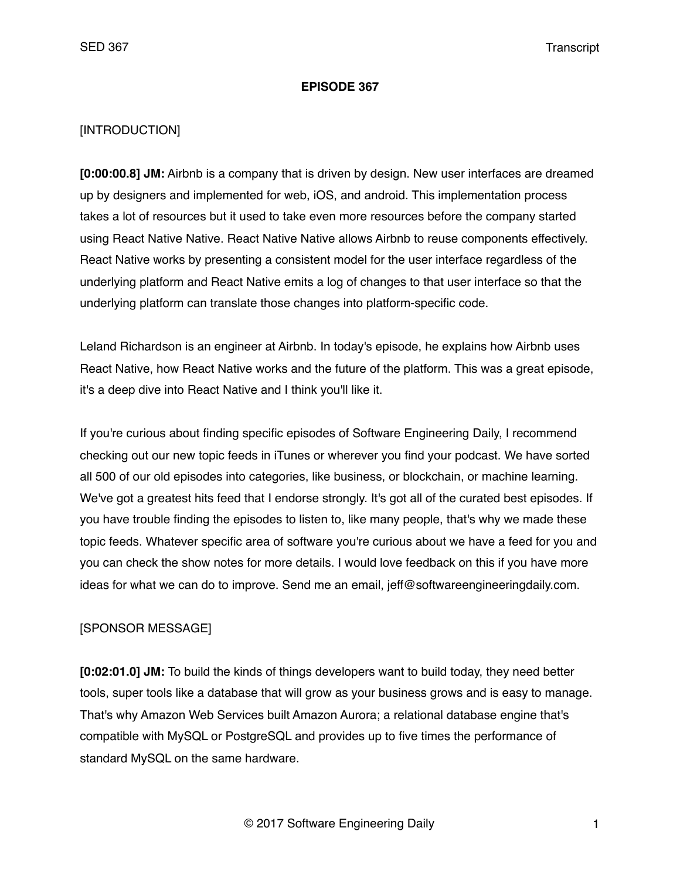#### **EPISODE 367**

#### [INTRODUCTION]

**[0:00:00.8] JM:** Airbnb is a company that is driven by design. New user interfaces are dreamed up by designers and implemented for web, iOS, and android. This implementation process takes a lot of resources but it used to take even more resources before the company started using React Native Native. React Native Native allows Airbnb to reuse components effectively. React Native works by presenting a consistent model for the user interface regardless of the underlying platform and React Native emits a log of changes to that user interface so that the underlying platform can translate those changes into platform-specific code.

Leland Richardson is an engineer at Airbnb. In today's episode, he explains how Airbnb uses React Native, how React Native works and the future of the platform. This was a great episode, it's a deep dive into React Native and I think you'll like it.

If you're curious about finding specific episodes of Software Engineering Daily, I recommend checking out our new topic feeds in iTunes or wherever you find your podcast. We have sorted all 500 of our old episodes into categories, like business, or blockchain, or machine learning. We've got a greatest hits feed that I endorse strongly. It's got all of the curated best episodes. If you have trouble finding the episodes to listen to, like many people, that's why we made these topic feeds. Whatever specific area of software you're curious about we have a feed for you and you can check the show notes for more details. I would love feedback on this if you have more ideas for what we can do to improve. Send me an email, jeff@softwareengineeringdaily.com.

### [SPONSOR MESSAGE]

**[0:02:01.0] JM:** To build the kinds of things developers want to build today, they need better tools, super tools like a database that will grow as your business grows and is easy to manage. That's why Amazon Web Services built Amazon Aurora; a relational database engine that's compatible with MySQL or PostgreSQL and provides up to five times the performance of standard MySQL on the same hardware.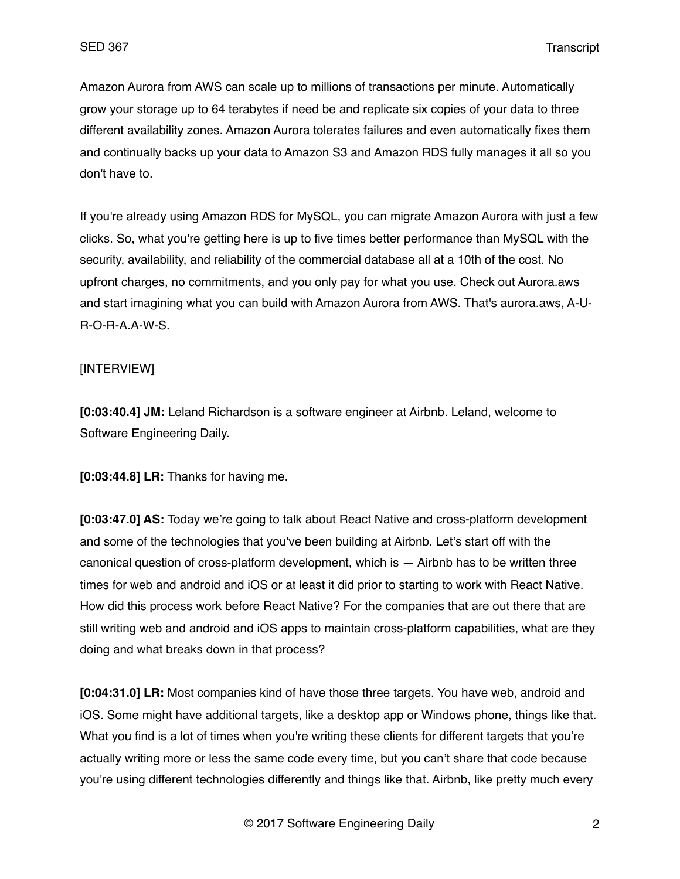Amazon Aurora from AWS can scale up to millions of transactions per minute. Automatically grow your storage up to 64 terabytes if need be and replicate six copies of your data to three different availability zones. Amazon Aurora tolerates failures and even automatically fixes them and continually backs up your data to Amazon S3 and Amazon RDS fully manages it all so you don't have to.

If you're already using Amazon RDS for MySQL, you can migrate Amazon Aurora with just a few clicks. So, what you're getting here is up to five times better performance than MySQL with the security, availability, and reliability of the commercial database all at a 10th of the cost. No upfront charges, no commitments, and you only pay for what you use. Check out Aurora.aws and start imagining what you can build with Amazon Aurora from AWS. That's aurora.aws, A-U-R-O-R-A.A-W-S.

# [INTERVIEW]

**[0:03:40.4] JM:** Leland Richardson is a software engineer at Airbnb. Leland, welcome to Software Engineering Daily.

**[0:03:44.8] LR:** Thanks for having me.

**[0:03:47.0] AS:** Today we're going to talk about React Native and cross-platform development and some of the technologies that you've been building at Airbnb. Let's start off with the canonical question of cross-platform development, which is — Airbnb has to be written three times for web and android and iOS or at least it did prior to starting to work with React Native. How did this process work before React Native? For the companies that are out there that are still writing web and android and iOS apps to maintain cross-platform capabilities, what are they doing and what breaks down in that process?

**[0:04:31.0] LR:** Most companies kind of have those three targets. You have web, android and iOS. Some might have additional targets, like a desktop app or Windows phone, things like that. What you find is a lot of times when you're writing these clients for different targets that you're actually writing more or less the same code every time, but you can't share that code because you're using different technologies differently and things like that. Airbnb, like pretty much every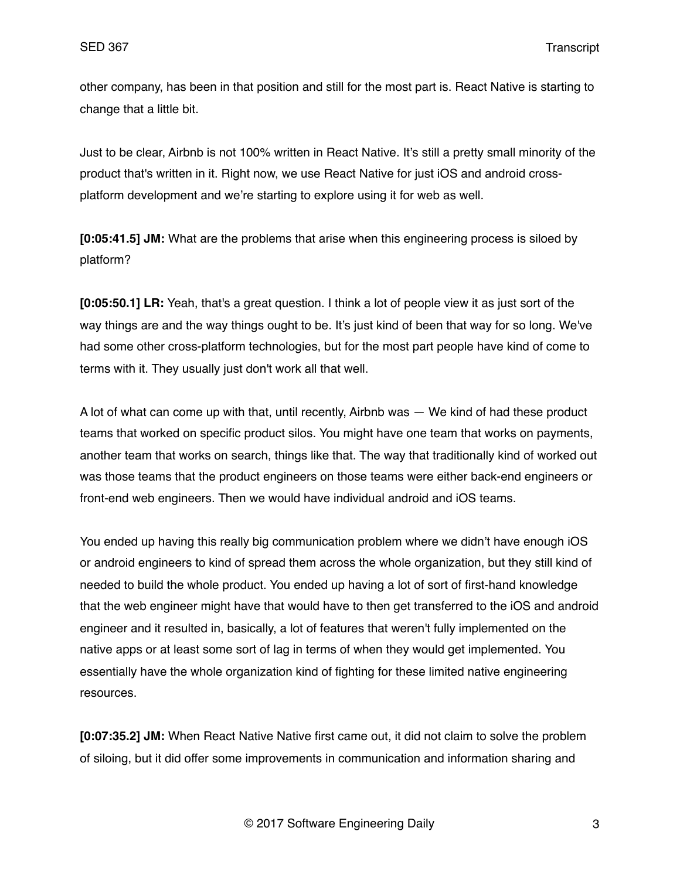other company, has been in that position and still for the most part is. React Native is starting to change that a little bit.

Just to be clear, Airbnb is not 100% written in React Native. It's still a pretty small minority of the product that's written in it. Right now, we use React Native for just iOS and android crossplatform development and we're starting to explore using it for web as well.

**[0:05:41.5] JM:** What are the problems that arise when this engineering process is siloed by platform?

**[0:05:50.1] LR:** Yeah, that's a great question. I think a lot of people view it as just sort of the way things are and the way things ought to be. It's just kind of been that way for so long. We've had some other cross-platform technologies, but for the most part people have kind of come to terms with it. They usually just don't work all that well.

A lot of what can come up with that, until recently, Airbnb was — We kind of had these product teams that worked on specific product silos. You might have one team that works on payments, another team that works on search, things like that. The way that traditionally kind of worked out was those teams that the product engineers on those teams were either back-end engineers or front-end web engineers. Then we would have individual android and iOS teams.

You ended up having this really big communication problem where we didn't have enough iOS or android engineers to kind of spread them across the whole organization, but they still kind of needed to build the whole product. You ended up having a lot of sort of first-hand knowledge that the web engineer might have that would have to then get transferred to the iOS and android engineer and it resulted in, basically, a lot of features that weren't fully implemented on the native apps or at least some sort of lag in terms of when they would get implemented. You essentially have the whole organization kind of fighting for these limited native engineering resources.

**[0:07:35.2] JM:** When React Native Native first came out, it did not claim to solve the problem of siloing, but it did offer some improvements in communication and information sharing and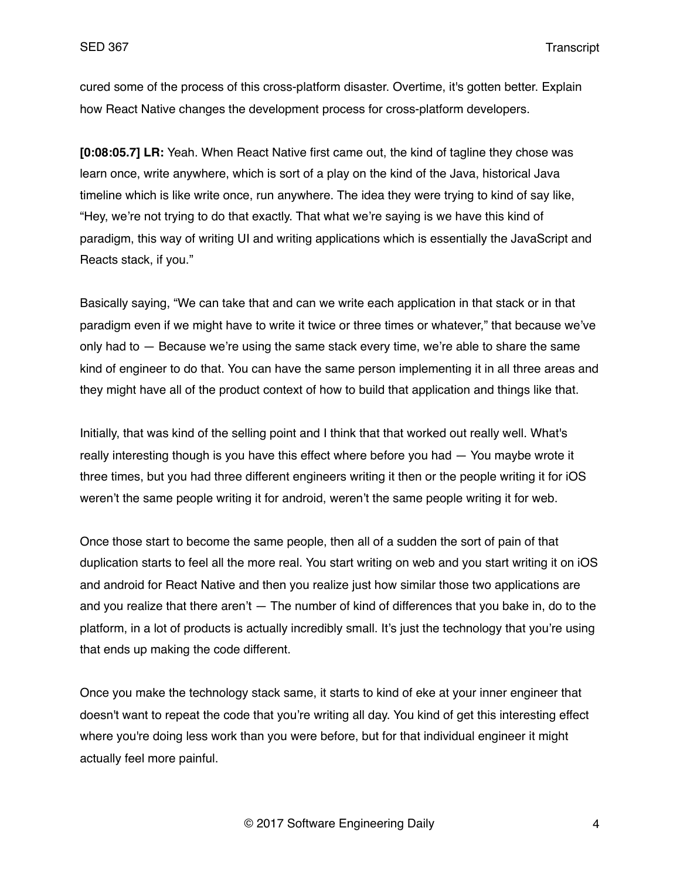cured some of the process of this cross-platform disaster. Overtime, it's gotten better. Explain how React Native changes the development process for cross-platform developers.

**[0:08:05.7] LR:** Yeah. When React Native first came out, the kind of tagline they chose was learn once, write anywhere, which is sort of a play on the kind of the Java, historical Java timeline which is like write once, run anywhere. The idea they were trying to kind of say like, "Hey, we're not trying to do that exactly. That what we're saying is we have this kind of paradigm, this way of writing UI and writing applications which is essentially the JavaScript and Reacts stack, if you."

Basically saying, "We can take that and can we write each application in that stack or in that paradigm even if we might have to write it twice or three times or whatever," that because we've only had to — Because we're using the same stack every time, we're able to share the same kind of engineer to do that. You can have the same person implementing it in all three areas and they might have all of the product context of how to build that application and things like that.

Initially, that was kind of the selling point and I think that that worked out really well. What's really interesting though is you have this effect where before you had — You maybe wrote it three times, but you had three different engineers writing it then or the people writing it for iOS weren't the same people writing it for android, weren't the same people writing it for web.

Once those start to become the same people, then all of a sudden the sort of pain of that duplication starts to feel all the more real. You start writing on web and you start writing it on iOS and android for React Native and then you realize just how similar those two applications are and you realize that there aren't  $-$  The number of kind of differences that you bake in, do to the platform, in a lot of products is actually incredibly small. It's just the technology that you're using that ends up making the code different.

Once you make the technology stack same, it starts to kind of eke at your inner engineer that doesn't want to repeat the code that you're writing all day. You kind of get this interesting effect where you're doing less work than you were before, but for that individual engineer it might actually feel more painful.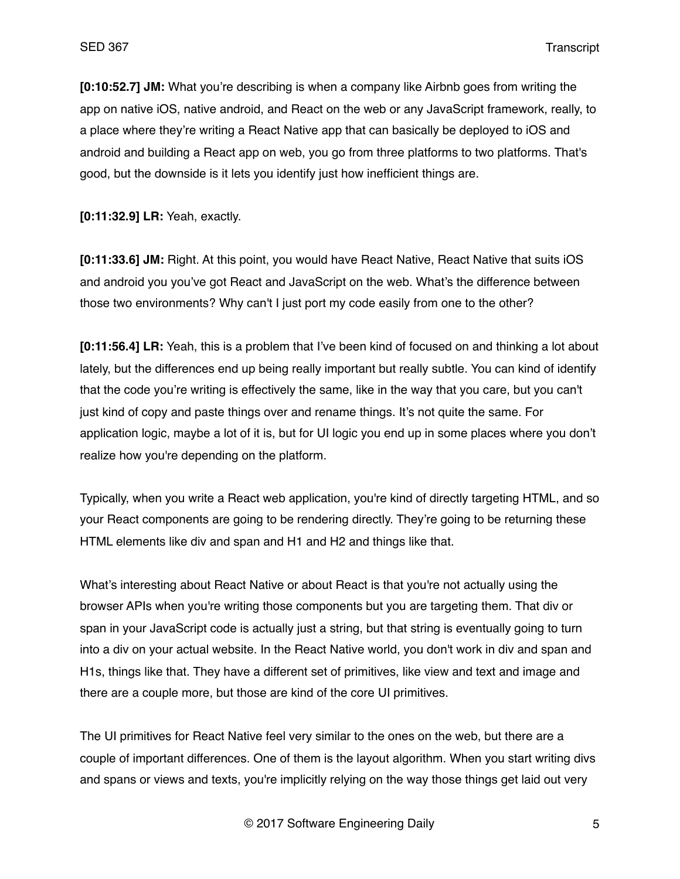**[0:10:52.7] JM:** What you're describing is when a company like Airbnb goes from writing the app on native iOS, native android, and React on the web or any JavaScript framework, really, to a place where they're writing a React Native app that can basically be deployed to iOS and android and building a React app on web, you go from three platforms to two platforms. That's good, but the downside is it lets you identify just how inefficient things are.

**[0:11:32.9] LR:** Yeah, exactly.

**[0:11:33.6] JM:** Right. At this point, you would have React Native, React Native that suits iOS and android you you've got React and JavaScript on the web. What's the difference between those two environments? Why can't I just port my code easily from one to the other?

**[0:11:56.4] LR:** Yeah, this is a problem that I've been kind of focused on and thinking a lot about lately, but the differences end up being really important but really subtle. You can kind of identify that the code you're writing is effectively the same, like in the way that you care, but you can't just kind of copy and paste things over and rename things. It's not quite the same. For application logic, maybe a lot of it is, but for UI logic you end up in some places where you don't realize how you're depending on the platform.

Typically, when you write a React web application, you're kind of directly targeting HTML, and so your React components are going to be rendering directly. They're going to be returning these HTML elements like div and span and H1 and H2 and things like that.

What's interesting about React Native or about React is that you're not actually using the browser APIs when you're writing those components but you are targeting them. That div or span in your JavaScript code is actually just a string, but that string is eventually going to turn into a div on your actual website. In the React Native world, you don't work in div and span and H1s, things like that. They have a different set of primitives, like view and text and image and there are a couple more, but those are kind of the core UI primitives.

The UI primitives for React Native feel very similar to the ones on the web, but there are a couple of important differences. One of them is the layout algorithm. When you start writing divs and spans or views and texts, you're implicitly relying on the way those things get laid out very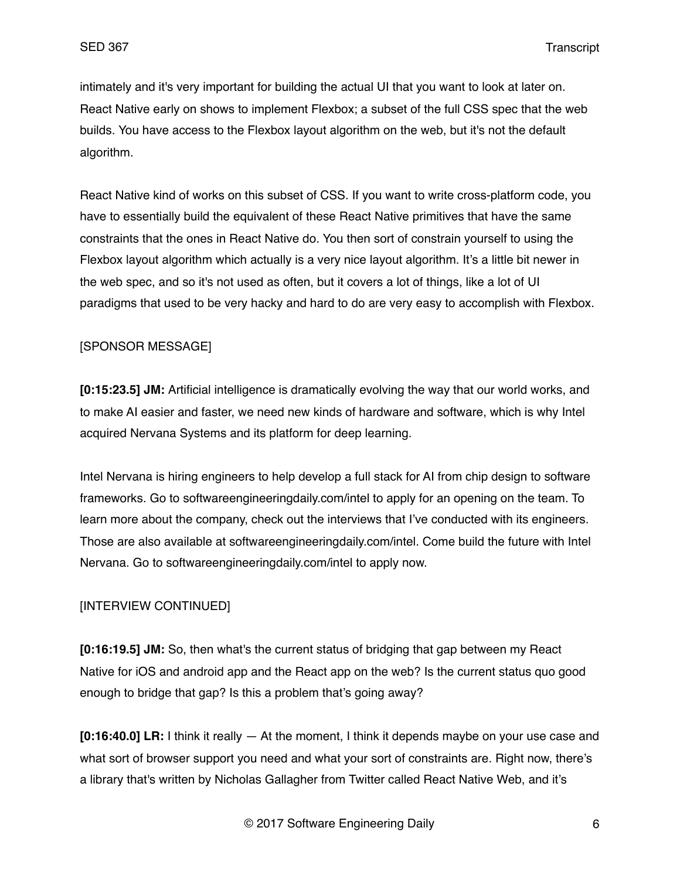intimately and it's very important for building the actual UI that you want to look at later on. React Native early on shows to implement Flexbox; a subset of the full CSS spec that the web builds. You have access to the Flexbox layout algorithm on the web, but it's not the default algorithm.

React Native kind of works on this subset of CSS. If you want to write cross-platform code, you have to essentially build the equivalent of these React Native primitives that have the same constraints that the ones in React Native do. You then sort of constrain yourself to using the Flexbox layout algorithm which actually is a very nice layout algorithm. It's a little bit newer in the web spec, and so it's not used as often, but it covers a lot of things, like a lot of UI paradigms that used to be very hacky and hard to do are very easy to accomplish with Flexbox.

### [SPONSOR MESSAGE]

**[0:15:23.5] JM:** Artificial intelligence is dramatically evolving the way that our world works, and to make AI easier and faster, we need new kinds of hardware and software, which is why Intel acquired Nervana Systems and its platform for deep learning.

Intel Nervana is hiring engineers to help develop a full stack for AI from chip design to software frameworks. Go to softwareengineeringdaily.com/intel to apply for an opening on the team. To learn more about the company, check out the interviews that I've conducted with its engineers. Those are also available at softwareengineeringdaily.com/intel. Come build the future with Intel Nervana. Go to softwareengineeringdaily.com/intel to apply now.

### [INTERVIEW CONTINUED]

**[0:16:19.5] JM:** So, then what's the current status of bridging that gap between my React Native for iOS and android app and the React app on the web? Is the current status quo good enough to bridge that gap? Is this a problem that's going away?

**[0:16:40.0] LR:** I think it really — At the moment, I think it depends maybe on your use case and what sort of browser support you need and what your sort of constraints are. Right now, there's a library that's written by Nicholas Gallagher from Twitter called React Native Web, and it's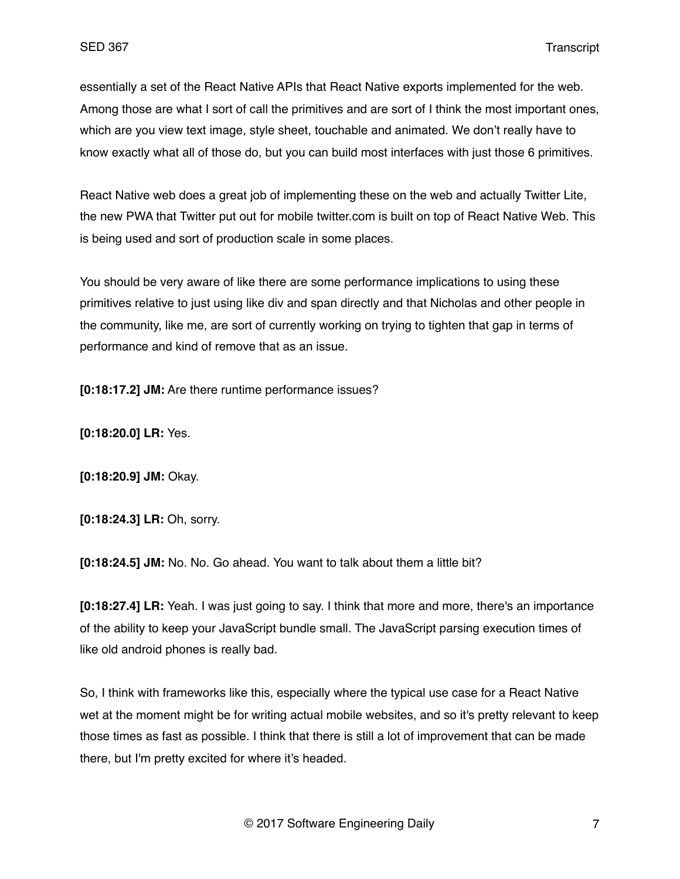essentially a set of the React Native APIs that React Native exports implemented for the web. Among those are what I sort of call the primitives and are sort of I think the most important ones, which are you view text image, style sheet, touchable and animated. We don't really have to know exactly what all of those do, but you can build most interfaces with just those 6 primitives.

React Native web does a great job of implementing these on the web and actually Twitter Lite, the new PWA that Twitter put out for mobile twitter.com is built on top of React Native Web. This is being used and sort of production scale in some places.

You should be very aware of like there are some performance implications to using these primitives relative to just using like div and span directly and that Nicholas and other people in the community, like me, are sort of currently working on trying to tighten that gap in terms of performance and kind of remove that as an issue.

**[0:18:17.2] JM:** Are there runtime performance issues?

**[0:18:20.0] LR:** Yes.

**[0:18:20.9] JM:** Okay.

**[0:18:24.3] LR:** Oh, sorry.

**[0:18:24.5] JM:** No. No. Go ahead. You want to talk about them a little bit?

**[0:18:27.4] LR:** Yeah. I was just going to say. I think that more and more, there's an importance of the ability to keep your JavaScript bundle small. The JavaScript parsing execution times of like old android phones is really bad.

So, I think with frameworks like this, especially where the typical use case for a React Native wet at the moment might be for writing actual mobile websites, and so it's pretty relevant to keep those times as fast as possible. I think that there is still a lot of improvement that can be made there, but I'm pretty excited for where it's headed.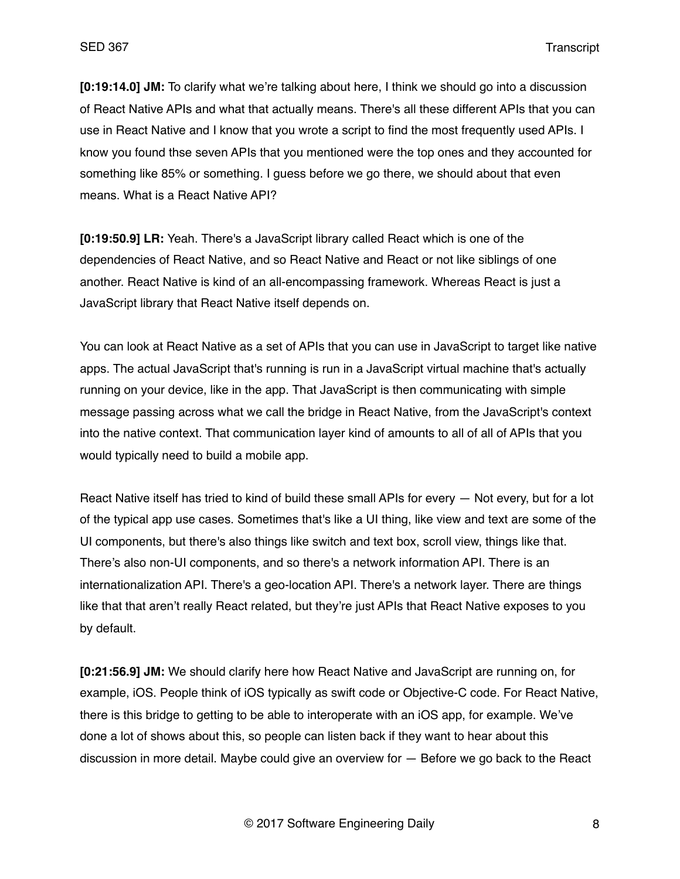**[0:19:14.0] JM:** To clarify what we're talking about here, I think we should go into a discussion of React Native APIs and what that actually means. There's all these different APIs that you can use in React Native and I know that you wrote a script to find the most frequently used APIs. I know you found thse seven APIs that you mentioned were the top ones and they accounted for something like 85% or something. I guess before we go there, we should about that even means. What is a React Native API?

**[0:19:50.9] LR:** Yeah. There's a JavaScript library called React which is one of the dependencies of React Native, and so React Native and React or not like siblings of one another. React Native is kind of an all-encompassing framework. Whereas React is just a JavaScript library that React Native itself depends on.

You can look at React Native as a set of APIs that you can use in JavaScript to target like native apps. The actual JavaScript that's running is run in a JavaScript virtual machine that's actually running on your device, like in the app. That JavaScript is then communicating with simple message passing across what we call the bridge in React Native, from the JavaScript's context into the native context. That communication layer kind of amounts to all of all of APIs that you would typically need to build a mobile app.

React Native itself has tried to kind of build these small APIs for every — Not every, but for a lot of the typical app use cases. Sometimes that's like a UI thing, like view and text are some of the UI components, but there's also things like switch and text box, scroll view, things like that. There's also non-UI components, and so there's a network information API. There is an internationalization API. There's a geo-location API. There's a network layer. There are things like that that aren't really React related, but they're just APIs that React Native exposes to you by default.

**[0:21:56.9] JM:** We should clarify here how React Native and JavaScript are running on, for example, iOS. People think of iOS typically as swift code or Objective-C code. For React Native, there is this bridge to getting to be able to interoperate with an iOS app, for example. We've done a lot of shows about this, so people can listen back if they want to hear about this discussion in more detail. Maybe could give an overview for — Before we go back to the React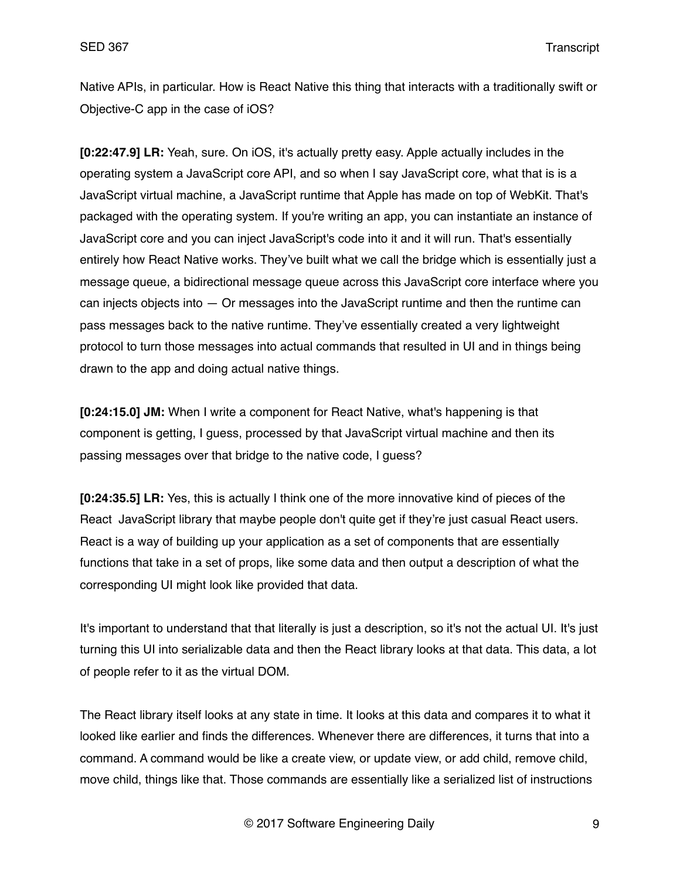Native APIs, in particular. How is React Native this thing that interacts with a traditionally swift or Objective-C app in the case of iOS?

**[0:22:47.9] LR:** Yeah, sure. On iOS, it's actually pretty easy. Apple actually includes in the operating system a JavaScript core API, and so when I say JavaScript core, what that is is a JavaScript virtual machine, a JavaScript runtime that Apple has made on top of WebKit. That's packaged with the operating system. If you're writing an app, you can instantiate an instance of JavaScript core and you can inject JavaScript's code into it and it will run. That's essentially entirely how React Native works. They've built what we call the bridge which is essentially just a message queue, a bidirectional message queue across this JavaScript core interface where you can injects objects into — Or messages into the JavaScript runtime and then the runtime can pass messages back to the native runtime. They've essentially created a very lightweight protocol to turn those messages into actual commands that resulted in UI and in things being drawn to the app and doing actual native things.

**[0:24:15.0] JM:** When I write a component for React Native, what's happening is that component is getting, I guess, processed by that JavaScript virtual machine and then its passing messages over that bridge to the native code, I guess?

**[0:24:35.5] LR:** Yes, this is actually I think one of the more innovative kind of pieces of the React JavaScript library that maybe people don't quite get if they're just casual React users. React is a way of building up your application as a set of components that are essentially functions that take in a set of props, like some data and then output a description of what the corresponding UI might look like provided that data.

It's important to understand that that literally is just a description, so it's not the actual UI. It's just turning this UI into serializable data and then the React library looks at that data. This data, a lot of people refer to it as the virtual DOM.

The React library itself looks at any state in time. It looks at this data and compares it to what it looked like earlier and finds the differences. Whenever there are differences, it turns that into a command. A command would be like a create view, or update view, or add child, remove child, move child, things like that. Those commands are essentially like a serialized list of instructions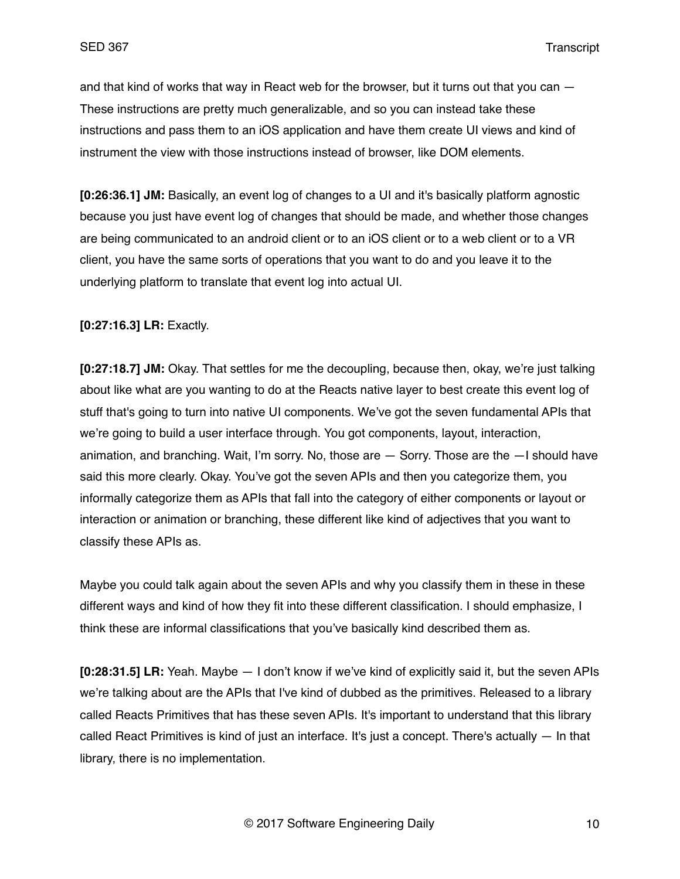and that kind of works that way in React web for the browser, but it turns out that you can — These instructions are pretty much generalizable, and so you can instead take these instructions and pass them to an iOS application and have them create UI views and kind of instrument the view with those instructions instead of browser, like DOM elements.

**[0:26:36.1] JM:** Basically, an event log of changes to a UI and it's basically platform agnostic because you just have event log of changes that should be made, and whether those changes are being communicated to an android client or to an iOS client or to a web client or to a VR client, you have the same sorts of operations that you want to do and you leave it to the underlying platform to translate that event log into actual UI.

### **[0:27:16.3] LR:** Exactly.

**[0:27:18.7] JM:** Okay. That settles for me the decoupling, because then, okay, we're just talking about like what are you wanting to do at the Reacts native layer to best create this event log of stuff that's going to turn into native UI components. We've got the seven fundamental APIs that we're going to build a user interface through. You got components, layout, interaction, animation, and branching. Wait, I'm sorry. No, those are — Sorry. Those are the —I should have said this more clearly. Okay. You've got the seven APIs and then you categorize them, you informally categorize them as APIs that fall into the category of either components or layout or interaction or animation or branching, these different like kind of adjectives that you want to classify these APIs as.

Maybe you could talk again about the seven APIs and why you classify them in these in these different ways and kind of how they fit into these different classification. I should emphasize, I think these are informal classifications that you've basically kind described them as.

**[0:28:31.5] LR:** Yeah. Maybe — I don't know if we've kind of explicitly said it, but the seven APIs we're talking about are the APIs that I've kind of dubbed as the primitives. Released to a library called Reacts Primitives that has these seven APIs. It's important to understand that this library called React Primitives is kind of just an interface. It's just a concept. There's actually  $-$  In that library, there is no implementation.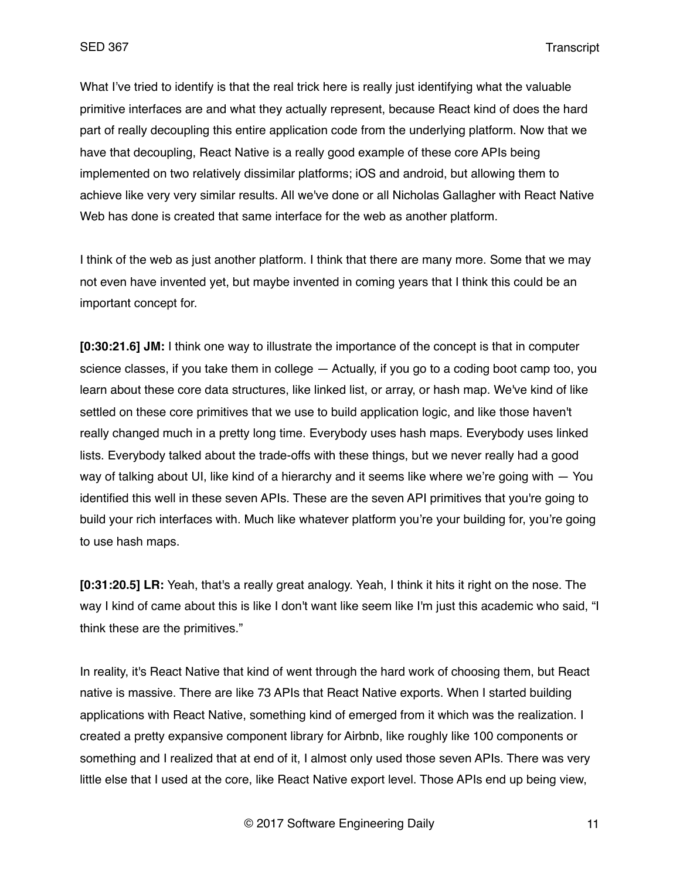What I've tried to identify is that the real trick here is really just identifying what the valuable primitive interfaces are and what they actually represent, because React kind of does the hard part of really decoupling this entire application code from the underlying platform. Now that we have that decoupling, React Native is a really good example of these core APIs being implemented on two relatively dissimilar platforms; iOS and android, but allowing them to achieve like very very similar results. All we've done or all Nicholas Gallagher with React Native Web has done is created that same interface for the web as another platform.

I think of the web as just another platform. I think that there are many more. Some that we may not even have invented yet, but maybe invented in coming years that I think this could be an important concept for.

**[0:30:21.6] JM:** I think one way to illustrate the importance of the concept is that in computer science classes, if you take them in college — Actually, if you go to a coding boot camp too, you learn about these core data structures, like linked list, or array, or hash map. We've kind of like settled on these core primitives that we use to build application logic, and like those haven't really changed much in a pretty long time. Everybody uses hash maps. Everybody uses linked lists. Everybody talked about the trade-offs with these things, but we never really had a good way of talking about UI, like kind of a hierarchy and it seems like where we're going with — You identified this well in these seven APIs. These are the seven API primitives that you're going to build your rich interfaces with. Much like whatever platform you're your building for, you're going to use hash maps.

**[0:31:20.5] LR:** Yeah, that's a really great analogy. Yeah, I think it hits it right on the nose. The way I kind of came about this is like I don't want like seem like I'm just this academic who said, "I think these are the primitives."

In reality, it's React Native that kind of went through the hard work of choosing them, but React native is massive. There are like 73 APIs that React Native exports. When I started building applications with React Native, something kind of emerged from it which was the realization. I created a pretty expansive component library for Airbnb, like roughly like 100 components or something and I realized that at end of it, I almost only used those seven APIs. There was very little else that I used at the core, like React Native export level. Those APIs end up being view,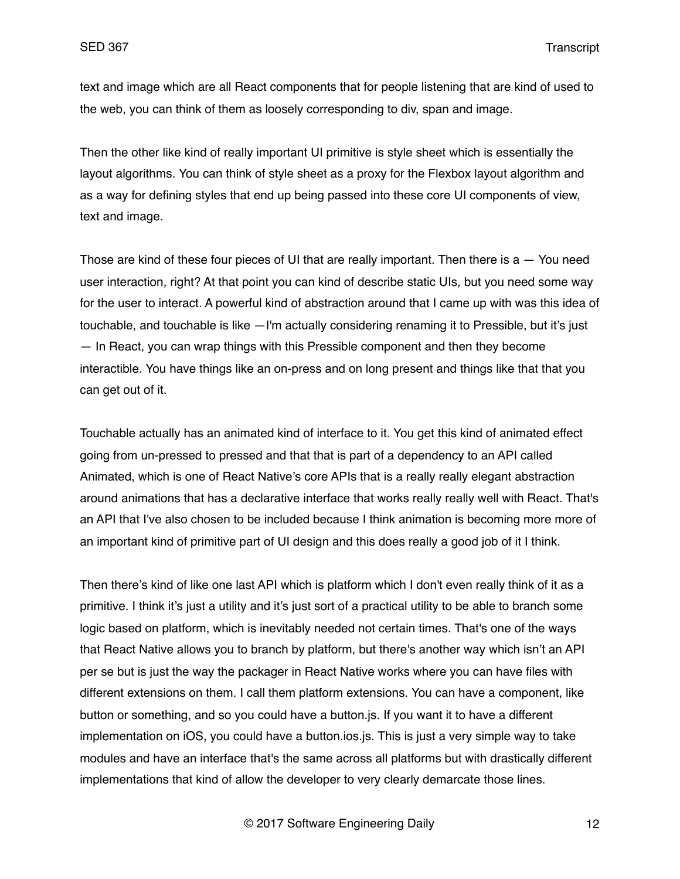text and image which are all React components that for people listening that are kind of used to the web, you can think of them as loosely corresponding to div, span and image.

Then the other like kind of really important UI primitive is style sheet which is essentially the layout algorithms. You can think of style sheet as a proxy for the Flexbox layout algorithm and as a way for defining styles that end up being passed into these core UI components of view, text and image.

Those are kind of these four pieces of UI that are really important. Then there is  $a - Y$ ou need user interaction, right? At that point you can kind of describe static UIs, but you need some way for the user to interact. A powerful kind of abstraction around that I came up with was this idea of touchable, and touchable is like —I'm actually considering renaming it to Pressible, but it's just — In React, you can wrap things with this Pressible component and then they become interactible. You have things like an on-press and on long present and things like that that you can get out of it.

Touchable actually has an animated kind of interface to it. You get this kind of animated effect going from un-pressed to pressed and that that is part of a dependency to an API called Animated, which is one of React Native's core APIs that is a really really elegant abstraction around animations that has a declarative interface that works really really well with React. That's an API that I've also chosen to be included because I think animation is becoming more more of an important kind of primitive part of UI design and this does really a good job of it I think.

Then there's kind of like one last API which is platform which I don't even really think of it as a primitive. I think it's just a utility and it's just sort of a practical utility to be able to branch some logic based on platform, which is inevitably needed not certain times. That's one of the ways that React Native allows you to branch by platform, but there's another way which isn't an API per se but is just the way the packager in React Native works where you can have files with different extensions on them. I call them platform extensions. You can have a component, like button or something, and so you could have a button.js. If you want it to have a different implementation on iOS, you could have a button.ios.js. This is just a very simple way to take modules and have an interface that's the same across all platforms but with drastically different implementations that kind of allow the developer to very clearly demarcate those lines.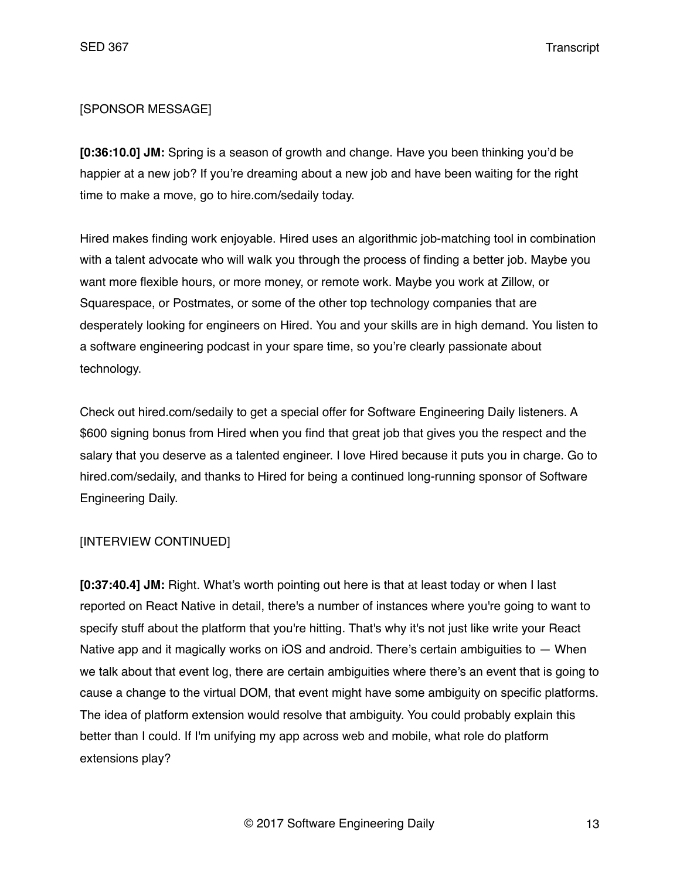### [SPONSOR MESSAGE]

**[0:36:10.0] JM:** Spring is a season of growth and change. Have you been thinking you'd be happier at a new job? If you're dreaming about a new job and have been waiting for the right time to make a move, go to hire.com/sedaily today.

Hired makes finding work enjoyable. Hired uses an algorithmic job-matching tool in combination with a talent advocate who will walk you through the process of finding a better job. Maybe you want more flexible hours, or more money, or remote work. Maybe you work at Zillow, or Squarespace, or Postmates, or some of the other top technology companies that are desperately looking for engineers on Hired. You and your skills are in high demand. You listen to a software engineering podcast in your spare time, so you're clearly passionate about technology.

Check out hired.com/sedaily to get a special offer for Software Engineering Daily listeners. A \$600 signing bonus from Hired when you find that great job that gives you the respect and the salary that you deserve as a talented engineer. I love Hired because it puts you in charge. Go to hired.com/sedaily, and thanks to Hired for being a continued long-running sponsor of Software Engineering Daily.

### [INTERVIEW CONTINUED]

**[0:37:40.4] JM:** Right. What's worth pointing out here is that at least today or when I last reported on React Native in detail, there's a number of instances where you're going to want to specify stuff about the platform that you're hitting. That's why it's not just like write your React Native app and it magically works on iOS and android. There's certain ambiguities to — When we talk about that event log, there are certain ambiguities where there's an event that is going to cause a change to the virtual DOM, that event might have some ambiguity on specific platforms. The idea of platform extension would resolve that ambiguity. You could probably explain this better than I could. If I'm unifying my app across web and mobile, what role do platform extensions play?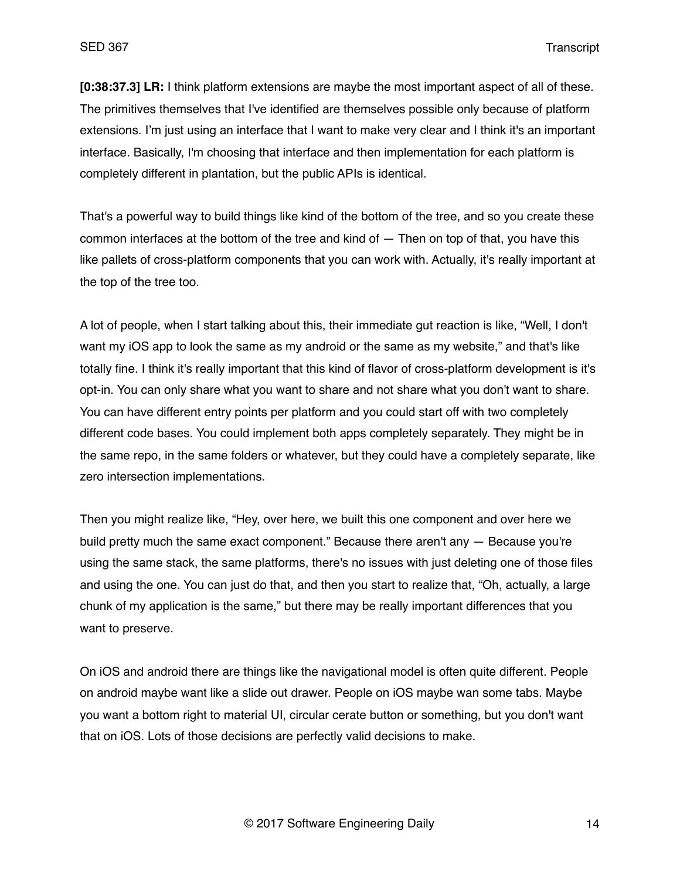**[0:38:37.3] LR:** I think platform extensions are maybe the most important aspect of all of these. The primitives themselves that I've identified are themselves possible only because of platform extensions. I'm just using an interface that I want to make very clear and I think it's an important interface. Basically, I'm choosing that interface and then implementation for each platform is completely different in plantation, but the public APIs is identical.

That's a powerful way to build things like kind of the bottom of the tree, and so you create these common interfaces at the bottom of the tree and kind of — Then on top of that, you have this like pallets of cross-platform components that you can work with. Actually, it's really important at the top of the tree too.

A lot of people, when I start talking about this, their immediate gut reaction is like, "Well, I don't want my iOS app to look the same as my android or the same as my website," and that's like totally fine. I think it's really important that this kind of flavor of cross-platform development is it's opt-in. You can only share what you want to share and not share what you don't want to share. You can have different entry points per platform and you could start off with two completely different code bases. You could implement both apps completely separately. They might be in the same repo, in the same folders or whatever, but they could have a completely separate, like zero intersection implementations.

Then you might realize like, "Hey, over here, we built this one component and over here we build pretty much the same exact component." Because there aren't any — Because you're using the same stack, the same platforms, there's no issues with just deleting one of those files and using the one. You can just do that, and then you start to realize that, "Oh, actually, a large chunk of my application is the same," but there may be really important differences that you want to preserve.

On iOS and android there are things like the navigational model is often quite different. People on android maybe want like a slide out drawer. People on iOS maybe wan some tabs. Maybe you want a bottom right to material UI, circular cerate button or something, but you don't want that on iOS. Lots of those decisions are perfectly valid decisions to make.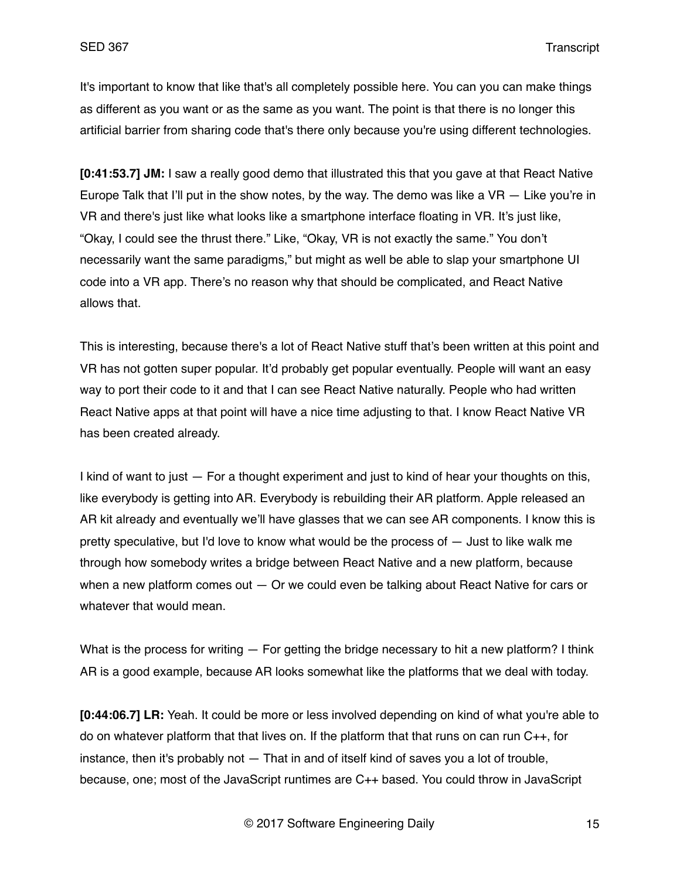It's important to know that like that's all completely possible here. You can you can make things as different as you want or as the same as you want. The point is that there is no longer this artificial barrier from sharing code that's there only because you're using different technologies.

**[0:41:53.7] JM:** I saw a really good demo that illustrated this that you gave at that React Native Europe Talk that I'll put in the show notes, by the way. The demo was like a  $VR - Like$  you're in VR and there's just like what looks like a smartphone interface floating in VR. It's just like, "Okay, I could see the thrust there." Like, "Okay, VR is not exactly the same." You don't necessarily want the same paradigms," but might as well be able to slap your smartphone UI code into a VR app. There's no reason why that should be complicated, and React Native allows that.

This is interesting, because there's a lot of React Native stuff that's been written at this point and VR has not gotten super popular. It'd probably get popular eventually. People will want an easy way to port their code to it and that I can see React Native naturally. People who had written React Native apps at that point will have a nice time adjusting to that. I know React Native VR has been created already.

I kind of want to just — For a thought experiment and just to kind of hear your thoughts on this, like everybody is getting into AR. Everybody is rebuilding their AR platform. Apple released an AR kit already and eventually we'll have glasses that we can see AR components. I know this is pretty speculative, but I'd love to know what would be the process of — Just to like walk me through how somebody writes a bridge between React Native and a new platform, because when a new platform comes out  $-$  Or we could even be talking about React Native for cars or whatever that would mean.

What is the process for writing — For getting the bridge necessary to hit a new platform? I think AR is a good example, because AR looks somewhat like the platforms that we deal with today.

**[0:44:06.7] LR:** Yeah. It could be more or less involved depending on kind of what you're able to do on whatever platform that that lives on. If the platform that that runs on can run C++, for instance, then it's probably not — That in and of itself kind of saves you a lot of trouble, because, one; most of the JavaScript runtimes are C++ based. You could throw in JavaScript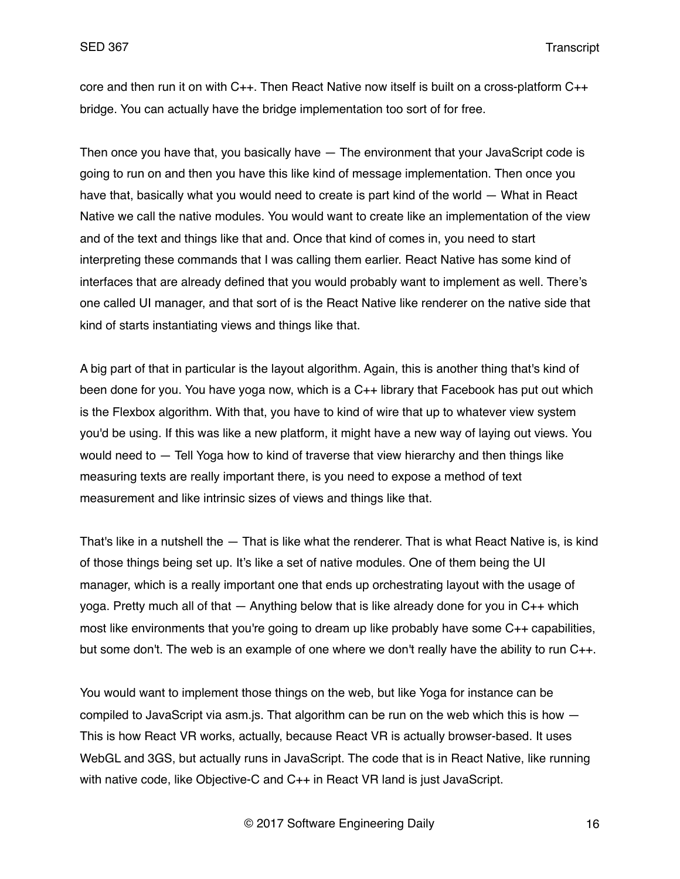core and then run it on with C++. Then React Native now itself is built on a cross-platform C++ bridge. You can actually have the bridge implementation too sort of for free.

Then once you have that, you basically have — The environment that your JavaScript code is going to run on and then you have this like kind of message implementation. Then once you have that, basically what you would need to create is part kind of the world — What in React Native we call the native modules. You would want to create like an implementation of the view and of the text and things like that and. Once that kind of comes in, you need to start interpreting these commands that I was calling them earlier. React Native has some kind of interfaces that are already defined that you would probably want to implement as well. There's one called UI manager, and that sort of is the React Native like renderer on the native side that kind of starts instantiating views and things like that.

A big part of that in particular is the layout algorithm. Again, this is another thing that's kind of been done for you. You have yoga now, which is a C++ library that Facebook has put out which is the Flexbox algorithm. With that, you have to kind of wire that up to whatever view system you'd be using. If this was like a new platform, it might have a new way of laying out views. You would need to — Tell Yoga how to kind of traverse that view hierarchy and then things like measuring texts are really important there, is you need to expose a method of text measurement and like intrinsic sizes of views and things like that.

That's like in a nutshell the — That is like what the renderer. That is what React Native is, is kind of those things being set up. It's like a set of native modules. One of them being the UI manager, which is a really important one that ends up orchestrating layout with the usage of yoga. Pretty much all of that  $-$  Anything below that is like already done for you in  $C_{++}$  which most like environments that you're going to dream up like probably have some C++ capabilities, but some don't. The web is an example of one where we don't really have the ability to run C++.

You would want to implement those things on the web, but like Yoga for instance can be compiled to JavaScript via asm.js. That algorithm can be run on the web which this is how — This is how React VR works, actually, because React VR is actually browser-based. It uses WebGL and 3GS, but actually runs in JavaScript. The code that is in React Native, like running with native code, like Objective-C and C++ in React VR land is just JavaScript.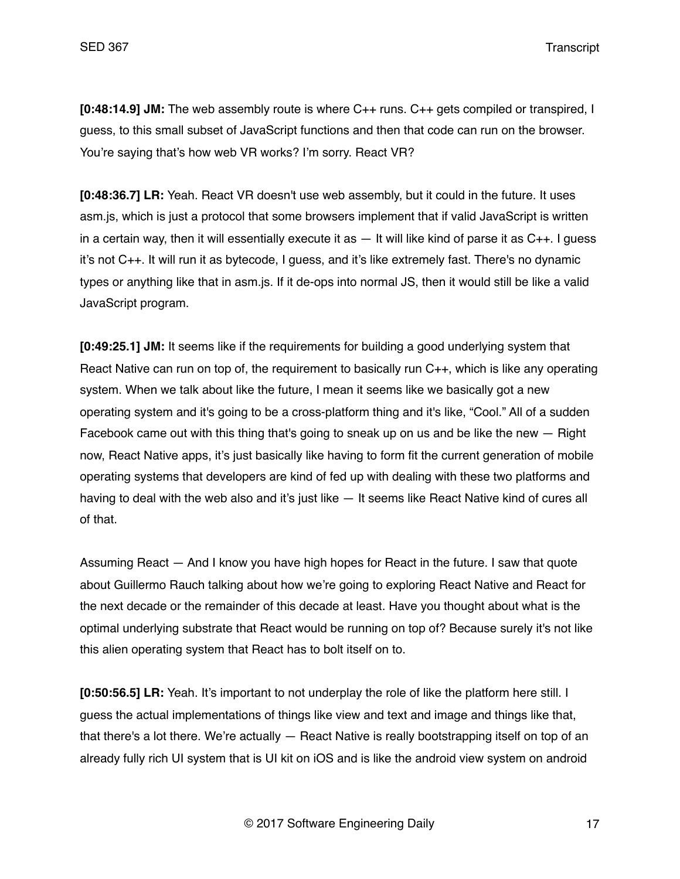SED 367 Transcript

**[0:48:14.9] JM:** The web assembly route is where C++ runs. C++ gets compiled or transpired, I guess, to this small subset of JavaScript functions and then that code can run on the browser. You're saying that's how web VR works? I'm sorry. React VR?

**[0:48:36.7] LR:** Yeah. React VR doesn't use web assembly, but it could in the future. It uses asm.js, which is just a protocol that some browsers implement that if valid JavaScript is written in a certain way, then it will essentially execute it as  $-$  It will like kind of parse it as  $C_{++}$ . I quess it's not C++. It will run it as bytecode, I guess, and it's like extremely fast. There's no dynamic types or anything like that in asm.js. If it de-ops into normal JS, then it would still be like a valid JavaScript program.

**[0:49:25.1] JM:** It seems like if the requirements for building a good underlying system that React Native can run on top of, the requirement to basically run C++, which is like any operating system. When we talk about like the future, I mean it seems like we basically got a new operating system and it's going to be a cross-platform thing and it's like, "Cool." All of a sudden Facebook came out with this thing that's going to sneak up on us and be like the new — Right now, React Native apps, it's just basically like having to form fit the current generation of mobile operating systems that developers are kind of fed up with dealing with these two platforms and having to deal with the web also and it's just like — It seems like React Native kind of cures all of that.

Assuming React — And I know you have high hopes for React in the future. I saw that quote about Guillermo Rauch talking about how we're going to exploring React Native and React for the next decade or the remainder of this decade at least. Have you thought about what is the optimal underlying substrate that React would be running on top of? Because surely it's not like this alien operating system that React has to bolt itself on to.

**[0:50:56.5] LR:** Yeah. It's important to not underplay the role of like the platform here still. I guess the actual implementations of things like view and text and image and things like that, that there's a lot there. We're actually — React Native is really bootstrapping itself on top of an already fully rich UI system that is UI kit on iOS and is like the android view system on android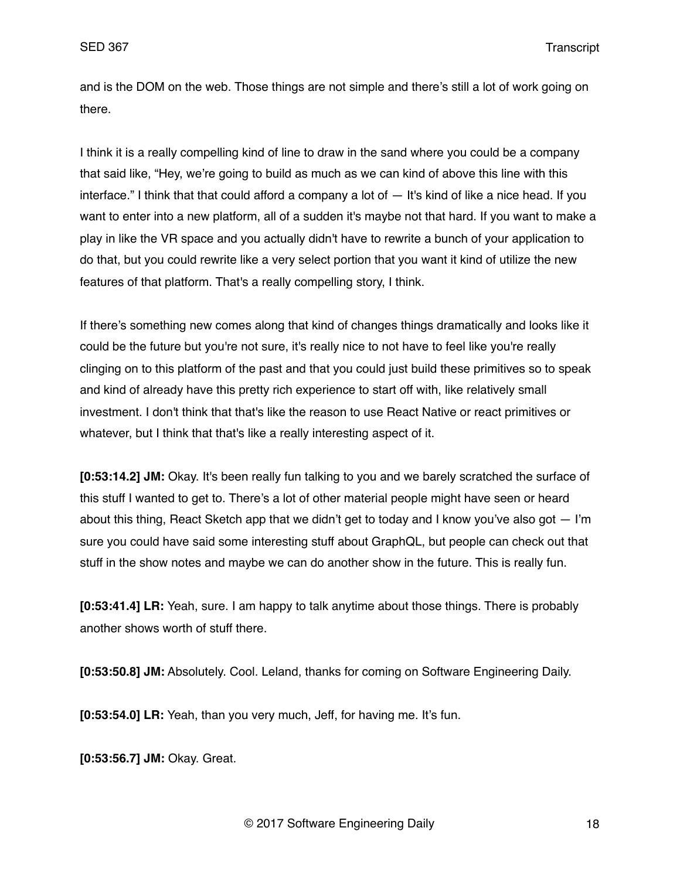SED 367 Transcript

and is the DOM on the web. Those things are not simple and there's still a lot of work going on there.

I think it is a really compelling kind of line to draw in the sand where you could be a company that said like, "Hey, we're going to build as much as we can kind of above this line with this interface." I think that that could afford a company a lot of  $-$  It's kind of like a nice head. If you want to enter into a new platform, all of a sudden it's maybe not that hard. If you want to make a play in like the VR space and you actually didn't have to rewrite a bunch of your application to do that, but you could rewrite like a very select portion that you want it kind of utilize the new features of that platform. That's a really compelling story, I think.

If there's something new comes along that kind of changes things dramatically and looks like it could be the future but you're not sure, it's really nice to not have to feel like you're really clinging on to this platform of the past and that you could just build these primitives so to speak and kind of already have this pretty rich experience to start off with, like relatively small investment. I don't think that that's like the reason to use React Native or react primitives or whatever, but I think that that's like a really interesting aspect of it.

**[0:53:14.2] JM:** Okay. It's been really fun talking to you and we barely scratched the surface of this stuff I wanted to get to. There's a lot of other material people might have seen or heard about this thing, React Sketch app that we didn't get to today and I know you've also got  $-1<sup>'</sup>m$ sure you could have said some interesting stuff about GraphQL, but people can check out that stuff in the show notes and maybe we can do another show in the future. This is really fun.

**[0:53:41.4] LR:** Yeah, sure. I am happy to talk anytime about those things. There is probably another shows worth of stuff there.

**[0:53:50.8] JM:** Absolutely. Cool. Leland, thanks for coming on Software Engineering Daily.

**[0:53:54.0] LR:** Yeah, than you very much, Jeff, for having me. It's fun.

**[0:53:56.7] JM:** Okay. Great.